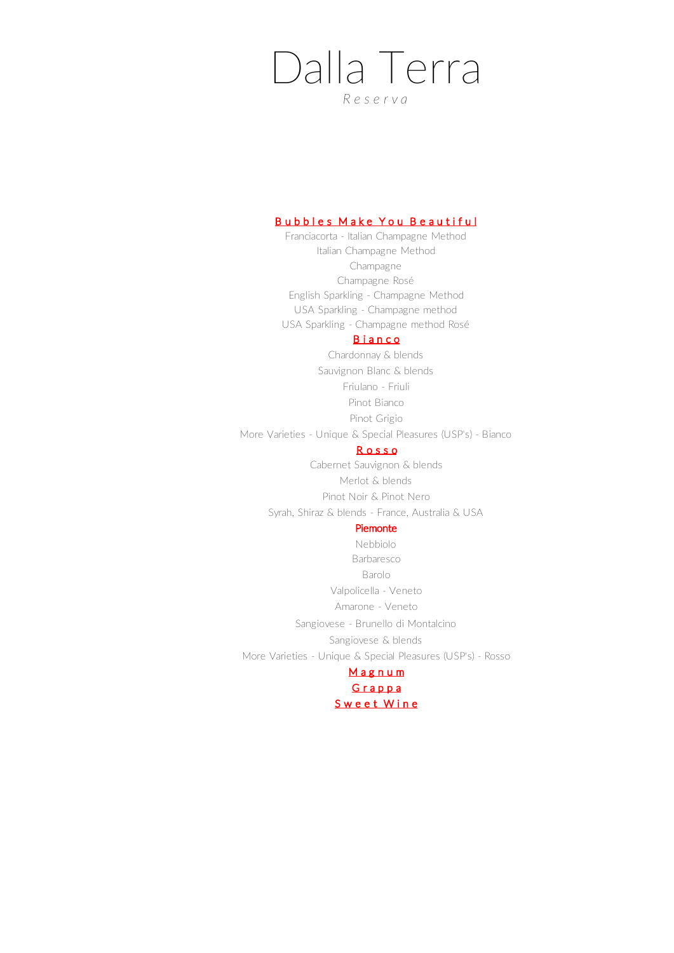# Dalla Terra

*R e s e r v a*

## Bubbles Make You Beautiful

Franciacorta - Italian Champagne Method Italian Champagne Method Champagne Champagne Rosé English Sparkling - Champagne Method USA Sparkling - Champagne method USA Sparkling - Champagne method Rosé

# **Bianco**

Pinot Bianco Pinot Grigio More Varieties - Unique & Special Pleasures (USP's) - Bianco Sauvignon Blanc & blends Friulano - Friuli Chardonnay & blends

#### R o s s o

Syrah, Shiraz & blends - France, Australia & USA Pinot Noir & Pinot Nero Cabernet Sauvignon & blends Merlot & blends

## Piemonte

More Varieties - Unique & Special Pleasures (USP's) - Rosso **Magnum** Amarone - Veneto Nebbiolo Barbaresco Sangiovese - Brunello di Montalcino Sangiovese & blends Barolo Valpolicella - Veneto

Grappa S w e e t W i n e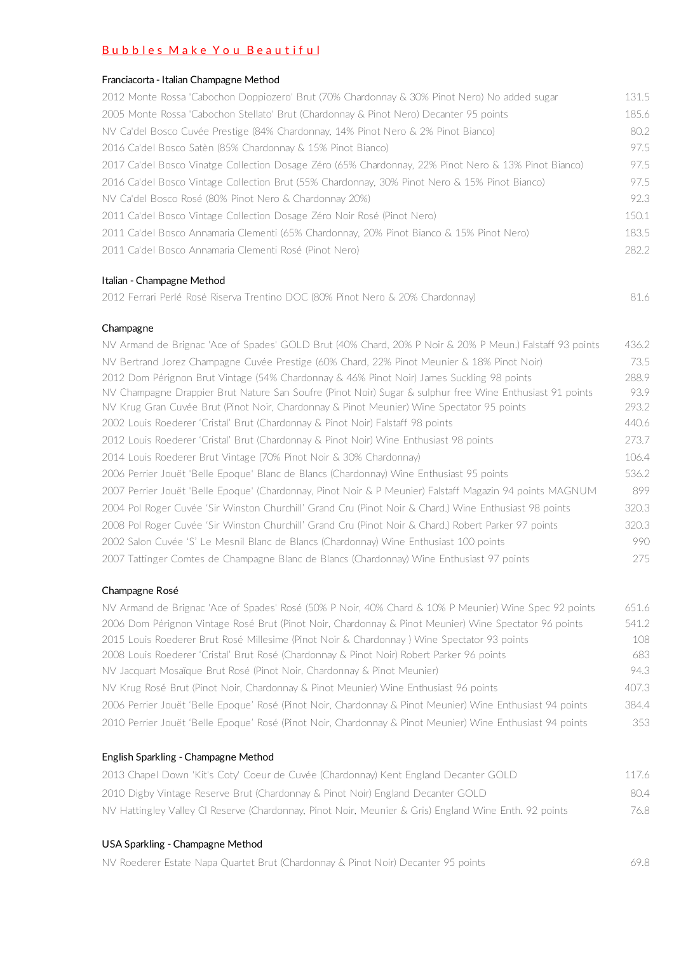# Bubbles Make You Beautiful

#### Franciacorta - Italian Champagne Method

| 2012 Monte Rossa 'Cabochon Doppiozero' Brut (70% Chardonnay & 30% Pinot Nero) No added sugar         | 131.5 |
|------------------------------------------------------------------------------------------------------|-------|
| 2005 Monte Rossa 'Cabochon Stellato' Brut (Chardonnay & Pinot Nero) Decanter 95 points               | 185.6 |
| NV Ca'del Bosco Cuvée Prestige (84% Chardonnay, 14% Pinot Nero & 2% Pinot Bianco)                    | 80.2  |
| 2016 Ca'del Bosco Satèn (85% Chardonnay & 15% Pinot Bianco)                                          | 97.5  |
| 2017 Ca'del Bosco Vinatge Collection Dosage Zéro (65% Chardonnay, 22% Pinot Nero & 13% Pinot Bianco) | 97.5  |
| 2016 Ca'del Bosco Vintage Collection Brut (55% Chardonnay, 30% Pinot Nero & 15% Pinot Bianco)        | 97.5  |
| NV Ca'del Bosco Rosé (80% Pinot Nero & Chardonnay 20%)                                               | 92.3  |
| 2011 Ca'del Bosco Vintage Collection Dosage Zéro Noir Rosé (Pinot Nero)                              | 150.1 |
| 2011 Ca'del Bosco Annamaria Clementi (65% Chardonnay, 20% Pinot Bianco & 15% Pinot Nero)             | 183.5 |
| 2011 Ca'del Bosco Annamaria Clementi Rosé (Pinot Nero)                                               | 282.2 |

#### Italian - Champagne Method

|  | 2012 Ferrari Perlé Rosé Riserva Trentino DOC (80% Pinot Nero & 20% Chardonnay) |  |
|--|--------------------------------------------------------------------------------|--|
|--|--------------------------------------------------------------------------------|--|

#### Champagne

NV Armand de Brignac 'Ace of Spades' GOLD Brut (40% Chard, 20% P Noir & 20% P Meun.) Falstaff 93 points 436.2 NV Bertrand Jorez Champagne Cuvée Prestige (60% Chard, 22% Pinot Meunier & 18% Pinot Noir) 73.5 2012 Dom Pérignon Brut Vintage (54% Chardonnay & 46% Pinot Noir) James Suckling 98 points 288.9 NV Champagne Drappier Brut Nature San Soufre (Pinot Noir) Sugar & sulphur free Wine Enthusiast 91 points 93.9 NV Krug Gran Cuvée Brut (Pinot Noir, Chardonnay & Pinot Meunier) Wine Spectator 95 points 293.2 2002 Louis Roederer 'Cristal' Brut (Chardonnay & Pinot Noir) Falstaff 98 points 440.6 2012 Louis Roederer 'Cristal' Brut (Chardonnay & Pinot Noir) Wine Enthusiast 98 points 273.7 2014 Louis Roederer Brut Vintage (70% Pinot Noir & 30% Chardonnay) 106.4 2006 Perrier Jouët 'Belle Epoque' Blanc de Blancs (Chardonnay) Wine Enthusiast 95 points 536.2 2007 Perrier Jouët 'Belle Epoque' (Chardonnay, Pinot Noir & P Meunier) Falstaff Magazin 94 points MAGNUM 899 2004 Pol Roger Cuvée 'Sir Winston Churchill' Grand Cru (Pinot Noir & Chard.) Wine Enthusiast 98 points 320.3 2008 Pol Roger Cuvée 'Sir Winston Churchill' Grand Cru (Pinot Noir & Chard.) Robert Parker 97 points 320.3 2002 Salon Cuvée 'S' Le Mesnil Blanc de Blancs (Chardonnay) Wine Enthusiast 100 points 990 2007 Tattinger Comtes de Champagne Blanc de Blancs (Chardonnay) Wine Enthusiast 97 points 275

#### Champagne Rosé

| NV Armand de Brignac 'Ace of Spades' Rosé (50% P Noir, 40% Chard & 10% P Meunier) Wine Spec 92 points     | 651.6 |
|-----------------------------------------------------------------------------------------------------------|-------|
| 2006 Dom Pérignon Vintage Rosé Brut (Pinot Noir, Chardonnay & Pinot Meunier) Wine Spectator 96 points     | 541.2 |
| 2015 Louis Roederer Brut Rosé Millesime (Pinot Noir & Chardonnay) Wine Spectator 93 points                | 108   |
| 2008 Louis Roederer 'Cristal' Brut Rosé (Chardonnay & Pinot Noir) Robert Parker 96 points                 | 683   |
| NV Jacquart Mosaïque Brut Rosé (Pinot Noir, Chardonnay & Pinot Meunier)                                   | 94.3  |
| NV Krug Rosé Brut (Pinot Noir, Chardonnay & Pinot Meunier) Wine Enthusiast 96 points                      | 407.3 |
| 2006 Perrier Jouët 'Belle Epoque' Rosé (Pinot Noir, Chardonnay & Pinot Meunier) Wine Enthusiast 94 points | 384.4 |
| 2010 Perrier Jouët 'Belle Epoque' Rosé (Pinot Noir, Chardonnay & Pinot Meunier) Wine Enthusiast 94 points | 353   |

#### English Sparkling - Champagne Method

| 2013 Chapel Down 'Kit's Coty' Coeur de Cuvée (Chardonnay) Kent England Decanter GOLD                  | 1176 |
|-------------------------------------------------------------------------------------------------------|------|
| 2010 Digby Vintage Reserve Brut (Chardonnay & Pinot Noir) England Decanter GOLD                       | 804  |
| NV Hattingley Valley CI Reserve (Chardonnay, Pinot Noir, Meunier & Gris) England Wine Enth. 92 points | 76.8 |

#### USA Sparkling - Champagne Method

NV Roederer Estate Napa Quartet Brut (Chardonnay & Pinot Noir) Decanter 95 points 69.8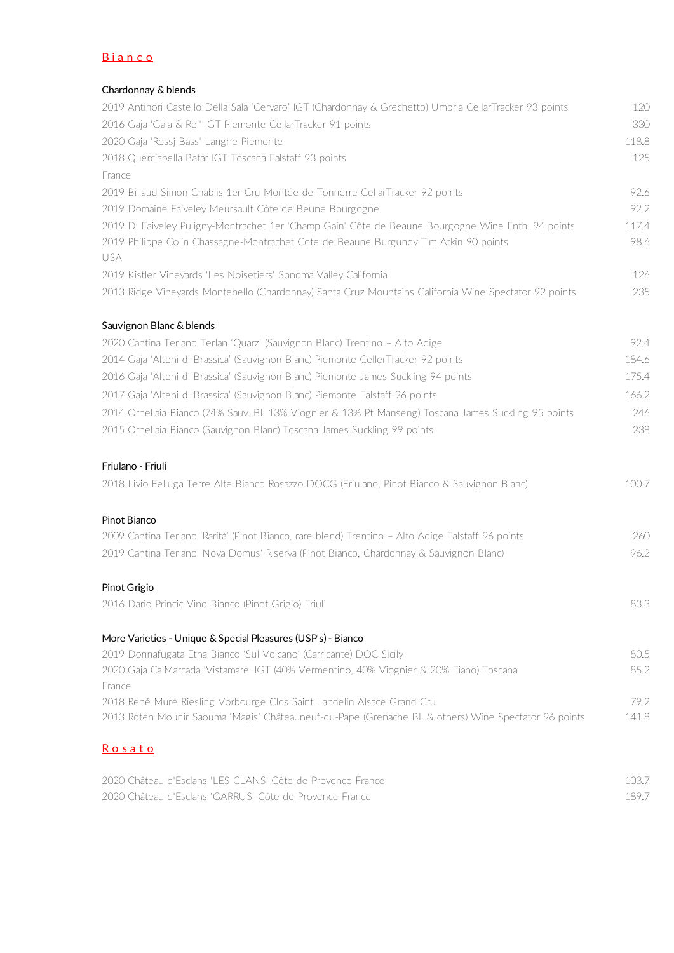# **B**ianco

## Chardonnay & blends

| 2019 Antinori Castello Della Sala 'Cervaro' IGT (Chardonnay & Grechetto) Umbria CellarTracker 93 points | 120   |
|---------------------------------------------------------------------------------------------------------|-------|
| 2016 Gaja 'Gaia & Rei' IGT Piemonte CellarTracker 91 points                                             | 330   |
| 2020 Gaja 'Rossj-Bass' Langhe Piemonte                                                                  | 118.8 |
| 2018 Querciabella Batar IGT Toscana Falstaff 93 points                                                  | 125   |
| France                                                                                                  |       |
| 2019 Billaud-Simon Chablis 1er Cru Montée de Tonnerre CellarTracker 92 points                           | 92.6  |
| 2019 Domaine Faiveley Meursault Côte de Beune Bourgogne                                                 | 92.2  |
| 2019 D. Faiveley Puligny-Montrachet 1er 'Champ Gain' Côte de Beaune Bourgogne Wine Enth. 94 points      | 117.4 |
| 2019 Philippe Colin Chassagne-Montrachet Cote de Beaune Burgundy Tim Atkin 90 points<br>USA             | 98.6  |
| 2019 Kistler Vineyards 'Les Noisetiers' Sonoma Valley California                                        | 126   |
| 2013 Ridge Vineyards Montebello (Chardonnay) Santa Cruz Mountains California Wine Spectator 92 points   | 235   |
| Sauvignon Blanc & blends                                                                                |       |
| 2020 Cantina Terlano Terlan 'Quarz' (Sauvignon Blanc) Trentino - Alto Adige                             | 92.4  |
| 2014 Gaja 'Alteni di Brassica' (Sauvignon Blanc) Piemonte CellerTracker 92 points                       | 184.6 |
| 2016 Gaja 'Alteni di Brassica' (Sauvignon Blanc) Piemonte James Suckling 94 points                      | 175.4 |
| 2017 Gaja 'Alteni di Brassica' (Sauvignon Blanc) Piemonte Falstaff 96 points                            | 166.2 |
| 2014 Ornellaia Bianco (74% Sauv. Bl, 13% Viognier & 13% Pt Manseng) Toscana James Suckling 95 points    | 246   |
| 2015 Ornellaia Bianco (Sauvignon Blanc) Toscana James Suckling 99 points                                | 238   |
| Friulano - Friuli                                                                                       |       |
| 2018 Livio Felluga Terre Alte Bianco Rosazzo DOCG (Friulano, Pinot Bianco & Sauvignon Blanc)            | 100.7 |
| Pinot Bianco                                                                                            |       |
| 2009 Cantina Terlano 'Rarità' (Pinot Bianco, rare blend) Trentino - Alto Adige Falstaff 96 points       | 260   |
| 2019 Cantina Terlano 'Nova Domus' Riserva (Pinot Bianco, Chardonnay & Sauvignon Blanc)                  | 96.2  |

## Pinot Grigio

2016 Dario Princic Vino Bianco (Pinot Grigio) Friuli 83.3

| More Varieties - Unique & Special Pleasures (USP's) - Bianco                                          |       |
|-------------------------------------------------------------------------------------------------------|-------|
|                                                                                                       |       |
| 2019 Donnafugata Etna Bianco 'Sul Volcano' (Carricante) DOC Sicily                                    | 80.5  |
| 2020 Gaja Ca'Marcada 'Vistamare' IGT (40% Vermentino, 40% Viognier & 20% Fiano) Toscana               | 852   |
| France                                                                                                |       |
| 2018 René Muré Riesling Vorbourge Clos Saint Landelin Alsace Grand Cru                                | 79.2  |
| 2013 Roten Mounir Saouma 'Magis' Châteauneuf-du-Pape (Grenache BI, & others) Wine Spectator 96 points | 141.8 |

# **Rosato**

| 2020 Château d'Esclans 'I ES CLANS' Côte de Provence France |       |
|-------------------------------------------------------------|-------|
| 2020 Château d'Esclans 'GARRUS' Côte de Provence France     | 189.7 |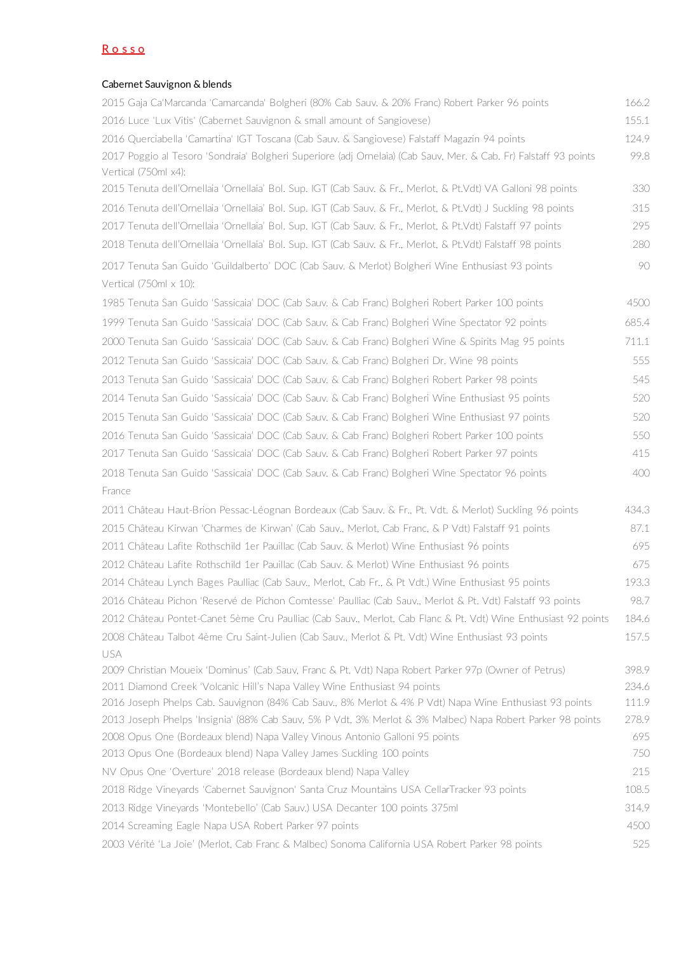# R o s s o

## Cabernet Sauvignon & blends

| 2015 Gaja Ca'Marcanda 'Camarcanda' Bolgheri (80% Cab Sauv. & 20% Franc) Robert Parker 96 points                                                     | 166.2      |
|-----------------------------------------------------------------------------------------------------------------------------------------------------|------------|
| 2016 Luce 'Lux Vitis' (Cabernet Sauvignon & small amount of Sangiovese)                                                                             | 155.1      |
| 2016 Querciabella 'Camartina' IGT Toscana (Cab Sauv. & Sangiovese) Falstaff Magazin 94 points                                                       | 124.9      |
| 2017 Poggio al Tesoro 'Sondraia' Bolgheri Superiore (adj Ornelaia) (Cab Sauv, Mer. & Cab. Fr) Falstaff 93 points                                    | 99.8       |
| Vertical (750ml x4):                                                                                                                                |            |
| 2015 Tenuta dell'Ornellaia 'Ornellaia' Bol. Sup. IGT (Cab Sauv. & Fr., Merlot, & Pt.Vdt) VA Galloni 98 points                                       | 330        |
| 2016 Tenuta dell'Ornellaia 'Ornellaia' Bol. Sup. IGT (Cab Sauv. & Fr., Merlot, & Pt.Vdt) J Suckling 98 points                                       | 315        |
| 2017 Tenuta dell'Ornellaia 'Ornellaia' Bol. Sup. IGT (Cab Sauv. & Fr., Merlot, & Pt.Vdt) Falstaff 97 points                                         | 295        |
| 2018 Tenuta dell'Ornellaia 'Ornellaia' Bol. Sup. IGT (Cab Sauv. & Fr., Merlot, & Pt.Vdt) Falstaff 98 points                                         | 280        |
| 2017 Tenuta San Guido 'Guildalberto' DOC (Cab Sauv. & Merlot) Bolgheri Wine Enthusiast 93 points                                                    | 90         |
| Vertical $(750ml \times 10)$ :                                                                                                                      |            |
| 1985 Tenuta San Guido 'Sassicaia' DOC (Cab Sauv. & Cab Franc) Bolgheri Robert Parker 100 points                                                     | 4500       |
| 1999 Tenuta San Guido 'Sassicaia' DOC (Cab Sauv. & Cab Franc) Bolgheri Wine Spectator 92 points                                                     | 685.4      |
| 2000 Tenuta San Guido 'Sassicaia' DOC (Cab Sauv. & Cab Franc) Bolgheri Wine & Spirits Mag 95 points                                                 | 711.1      |
| 2012 Tenuta San Guido 'Sassicaia' DOC (Cab Sauv. & Cab Franc) Bolgheri Dr. Wine 98 points                                                           | 555        |
| 2013 Tenuta San Guido 'Sassicaia' DOC (Cab Sauv. & Cab Franc) Bolgheri Robert Parker 98 points                                                      | 545        |
| 2014 Tenuta San Guido 'Sassicaia' DOC (Cab Sauv. & Cab Franc) Bolgheri Wine Enthusiast 95 points                                                    | 520        |
| 2015 Tenuta San Guido 'Sassicaia' DOC (Cab Sauv. & Cab Franc) Bolgheri Wine Enthusiast 97 points                                                    | 520        |
| 2016 Tenuta San Guido 'Sassicaia' DOC (Cab Sauv. & Cab Franc) Bolgheri Robert Parker 100 points                                                     | 550        |
| 2017 Tenuta San Guido 'Sassicaia' DOC (Cab Sauv. & Cab Franc) Bolgheri Robert Parker 97 points                                                      | 415        |
| 2018 Tenuta San Guido 'Sassicaia' DOC (Cab Sauv. & Cab Franc) Bolgheri Wine Spectator 96 points                                                     | 400        |
| France                                                                                                                                              |            |
| 2011 Château Haut-Brion Pessac-Léognan Bordeaux (Cab Sauv. & Fr., Pt. Vdt. & Merlot) Suckling 96 points                                             | 434.3      |
| 2015 Château Kirwan 'Charmes de Kirwan' (Cab Sauv., Merlot, Cab Franc, & P Vdt) Falstaff 91 points                                                  | 87.1       |
| 2011 Château Lafite Rothschild 1er Pauillac (Cab Sauv. & Merlot) Wine Enthusiast 96 points                                                          | 695        |
| 2012 Château Lafite Rothschild 1er Pauillac (Cab Sauv. & Merlot) Wine Enthusiast 96 points                                                          | 675        |
| 2014 Château Lynch Bages Paulliac (Cab Sauv., Merlot, Cab Fr., & Pt Vdt.) Wine Enthusiast 95 points                                                 | 193.3      |
| 2016 Château Pichon 'Reservé de Pichon Comtesse' Paulliac (Cab Sauv., Merlot & Pt. Vdt) Falstaff 93 points                                          | 98.7       |
| 2012 Château Pontet-Canet 5ème Cru Paulliac (Cab Sauv., Merlot, Cab Flanc & Pt. Vdt) Wine Enthusiast 92 points                                      | 184.6      |
| 2008 Château Talbot 4ème Cru Saint-Julien (Cab Sauv., Merlot & Pt. Vdt) Wine Enthusiast 93 points                                                   | 157.5      |
| USA                                                                                                                                                 |            |
| 2009 Christian Moueix 'Dominus' (Cab Sauv, Franc & Pt. Vdt) Napa Robert Parker 97p (Owner of Petrus)                                                | 398.9      |
| 2011 Diamond Creek 'Volcanic Hill's Napa Valley Wine Enthusiast 94 points                                                                           | 234.6      |
| 2016 Joseph Phelps Cab. Sauvignon (84% Cab Sauv., 8% Merlot & 4% P Vdt) Napa Wine Enthusiast 93 points                                              | 111.9      |
| 2013 Joseph Phelps 'Insignia' (88% Cab Sauv, 5% P Vdt, 3% Merlot & 3% Malbec) Napa Robert Parker 98 points                                          | 278.9      |
| 2008 Opus One (Bordeaux blend) Napa Valley Vinous Antonio Galloni 95 points<br>2013 Opus One (Bordeaux blend) Napa Valley James Suckling 100 points | 695<br>750 |
| NV Opus One 'Overture' 2018 release (Bordeaux blend) Napa Valley                                                                                    | 215        |
| 2018 Ridge Vineyards 'Cabernet Sauvignon' Santa Cruz Mountains USA CellarTracker 93 points                                                          | 108.5      |
| 2013 Ridge Vineyards 'Montebello' (Cab Sauv.) USA Decanter 100 points 375ml                                                                         | 314.9      |
| 2014 Screaming Eagle Napa USA Robert Parker 97 points                                                                                               | 4500       |
| 2003 Vérité 'La Joie' (Merlot, Cab Franc & Malbec) Sonoma California USA Robert Parker 98 points                                                    | 525        |
|                                                                                                                                                     |            |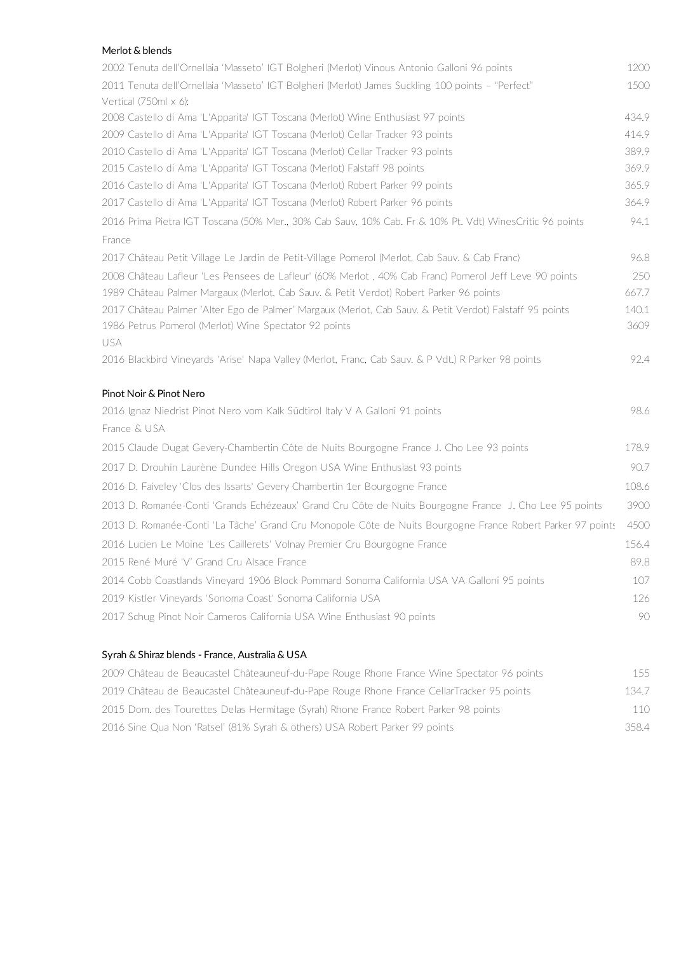## Merlot & blends

| 2002 Tenuta dell'Ornellaia 'Masseto' IGT Bolgheri (Merlot) Vinous Antonio Galloni 96 points                               | 1200  |
|---------------------------------------------------------------------------------------------------------------------------|-------|
| 2011 Tenuta dell'Ornellaia 'Masseto' IGT Bolgheri (Merlot) James Suckling 100 points - "Perfect"<br>Vertical (750ml x 6): | 1500  |
| 2008 Castello di Ama 'L'Apparita' IGT Toscana (Merlot) Wine Enthusiast 97 points                                          | 434.9 |
| 2009 Castello di Ama 'L'Apparita' IGT Toscana (Merlot) Cellar Tracker 93 points                                           | 414.9 |
| 2010 Castello di Ama 'L'Apparita' IGT Toscana (Merlot) Cellar Tracker 93 points                                           | 389.9 |
| 2015 Castello di Ama 'L'Apparita' IGT Toscana (Merlot) Falstaff 98 points                                                 | 369.9 |
| 2016 Castello di Ama 'L'Apparita' IGT Toscana (Merlot) Robert Parker 99 points                                            | 365.9 |
| 2017 Castello di Ama 'L'Apparita' IGT Toscana (Merlot) Robert Parker 96 points                                            | 364.9 |
| 2016 Prima Pietra IGT Toscana (50% Mer., 30% Cab Sauv, 10% Cab. Fr & 10% Pt. Vdt) WinesCritic 96 points                   | 94.1  |
| France                                                                                                                    |       |
| 2017 Château Petit Village Le Jardin de Petit-Village Pomerol (Merlot, Cab Sauv. & Cab Franc)                             | 96.8  |
| 2008 Château Lafleur 'Les Pensees de Lafleur' (60% Merlot, 40% Cab Franc) Pomerol Jeff Leve 90 points                     | 250   |
| 1989 Château Palmer Margaux (Merlot, Cab Sauv. & Petit Verdot) Robert Parker 96 points                                    | 667.7 |
| 2017 Château Palmer 'Alter Ego de Palmer' Margaux (Merlot, Cab Sauv. & Petit Verdot) Falstaff 95 points                   | 140.1 |
| 1986 Petrus Pomerol (Merlot) Wine Spectator 92 points                                                                     | 3609  |
| <b>USA</b>                                                                                                                |       |
| 2016 Blackbird Vineyards 'Arise' Napa Valley (Merlot, Franc, Cab Sauv. & P Vdt.) R Parker 98 points                       | 92.4  |
| Pinot Noir & Pinot Nero                                                                                                   |       |
| 2016 Ignaz Niedrist Pinot Nero vom Kalk Südtirol Italy V A Galloni 91 points                                              | 98.6  |
| France & USA                                                                                                              |       |
| 2015 Claude Dugat Gevery-Chambertin Côte de Nuits Bourgogne France J. Cho Lee 93 points                                   | 178.9 |
| 2017 D. Drouhin Laurène Dundee Hills Oregon USA Wine Enthusiast 93 points                                                 | 90.7  |
| 2016 D. Faiveley 'Clos des Issarts' Gevery Chambertin 1er Bourgogne France                                                | 108.6 |
| 2013 D. Romanée-Conti 'Grands Echézeaux' Grand Cru Côte de Nuits Bourgogne France J. Cho Lee 95 points                    | 3900  |
| 2013 D. Romanée-Conti 'La Tâche' Grand Cru Monopole Côte de Nuits Bourgogne France Robert Parker 97 points                | 4500  |
| 2016 Lucien Le Moine 'Les Caillerets' Volnay Premier Cru Bourgogne France                                                 | 156.4 |
| 2015 René Muré 'V' Grand Cru Alsace France                                                                                | 89.8  |
| 2014 Cobb Coastlands Vineyard 1906 Block Pommard Sonoma California USA VA Galloni 95 points                               | 107   |
| 2019 Kistler Vineyards 'Sonoma Coast' Sonoma California USA                                                               | 126   |
| 2017 Schug Pinot Noir Carneros California USA Wine Enthusiast 90 points                                                   | 90    |
|                                                                                                                           |       |

## Syrah & Shiraz blends - France, Australia & USA

| 2009 Château de Beaucastel Châteauneuf-du-Pape Rouge Rhone France Wine Spectator 96 points | 155   |
|--------------------------------------------------------------------------------------------|-------|
| 2019 Château de Beaucastel Châteauneuf-du-Pape Rouge Rhone France CellarTracker 95 points  | 134.7 |
| 2015 Dom. des Tourettes Delas Hermitage (Syrah) Rhone France Robert Parker 98 points       | 110   |
| 2016 Sine Qua Non 'Ratsel' (81% Syrah & others) USA Robert Parker 99 points                | 358.4 |
|                                                                                            |       |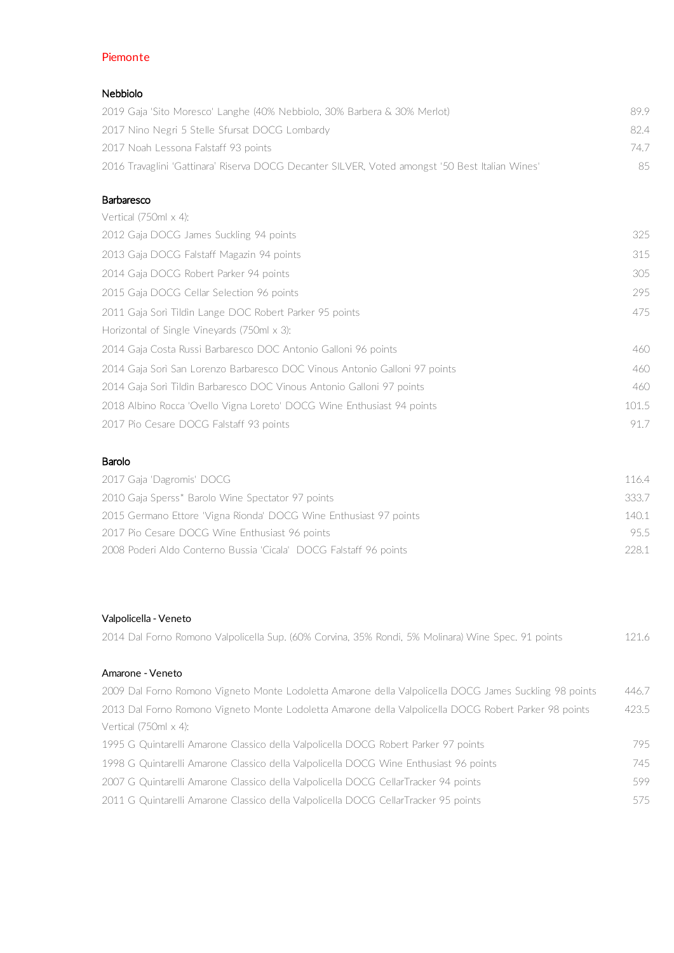# Piemonte

## Nebbiolo

| 2019 Gaja 'Sito Moresco' Langhe (40% Nebbiolo, 30% Barbera & 30% Merlot)                        | 899  |
|-------------------------------------------------------------------------------------------------|------|
| 2017 Nino Negri 5 Stelle Sfursat DOCG Lombardy                                                  | 824  |
| 2017 Noah Lessona Falstaff 93 points                                                            | 74 7 |
| 2016 Travaglini 'Gattinara' Riserva DOCG Decanter SILVER, Voted amongst '50 Best Italian Wines' | 85.  |

#### Barbaresco

| Vertical $(750ml \times 4)$ :                                              |       |
|----------------------------------------------------------------------------|-------|
| 2012 Gaja DOCG James Suckling 94 points                                    | 325   |
| 2013 Gaja DOCG Falstaff Magazin 94 points                                  | 315   |
| 2014 Gaja DOCG Robert Parker 94 points                                     | 305   |
| 2015 Gaja DOCG Cellar Selection 96 points                                  | 295   |
| 2011 Gaja Sorì Tildìn Lange DOC Robert Parker 95 points                    | 475   |
| Horizontal of Single Vineyards (750ml x 3):                                |       |
| 2014 Gaja Costa Russi Barbaresco DOC Antonio Galloni 96 points             | 460   |
| 2014 Gaja Sorì San Lorenzo Barbaresco DOC Vinous Antonio Galloni 97 points | 460   |
| 2014 Gaja Sorì Tildìn Barbaresco DOC Vinous Antonio Galloni 97 points      | 460   |
| 2018 Albino Rocca 'Ovello Vigna Loreto' DOCG Wine Enthusiast 94 points     | 101.5 |
| 2017 Pio Cesare DOCG Falstaff 93 points                                    | 917   |

## Barolo

| 2017 Gaja 'Dagromis' DOCG                                         | 1164  |
|-------------------------------------------------------------------|-------|
| 2010 Gaja Sperss* Barolo Wine Spectator 97 points                 | 333.7 |
| 2015 Germano Ettore 'Vigna Rionda' DOCG Wine Enthusiast 97 points | 140.1 |
| 2017 Pio Cesare DOCG Wine Enthusiast 96 points                    | 95.5  |
| 2008 Poderi Aldo Conterno Bussia 'Cicala' DOCG Falstaff 96 points | 228.1 |
|                                                                   |       |

# Valpolicella - Veneto

| 2014 Dal Forno Romono Valpolicella Sup. (60% Corvina, 35% Rondi, 5% Molinara) Wine Spec. 91 points     | 121.6 |
|--------------------------------------------------------------------------------------------------------|-------|
| Amarone - Veneto                                                                                       |       |
| 2009 Dal Forno Romono Vigneto Monte Lodoletta Amarone della Valpolicella DOCG James Suckling 98 points | 446.7 |
| 2013 Dal Forno Romono Vigneto Monte Lodoletta Amarone della Valpolicella DOCG Robert Parker 98 points  | 423.5 |
| Vertical $(750ml \times 4)$ :                                                                          |       |
| 1995 G Quintarelli Amarone Classico della Valpolicella DOCG Robert Parker 97 points                    | 795.  |
| 1998 G Quintarelli Amarone Classico della Valpolicella DOCG Wine Enthusiast 96 points                  | 745   |
| 2007 G Quintarelli Amarone Classico della Valpolicella DOCG CellarTracker 94 points                    | 599   |
| 2011 G Quintarelli Amarone Classico della Valpolicella DOCG CellarTracker 95 points                    | 575   |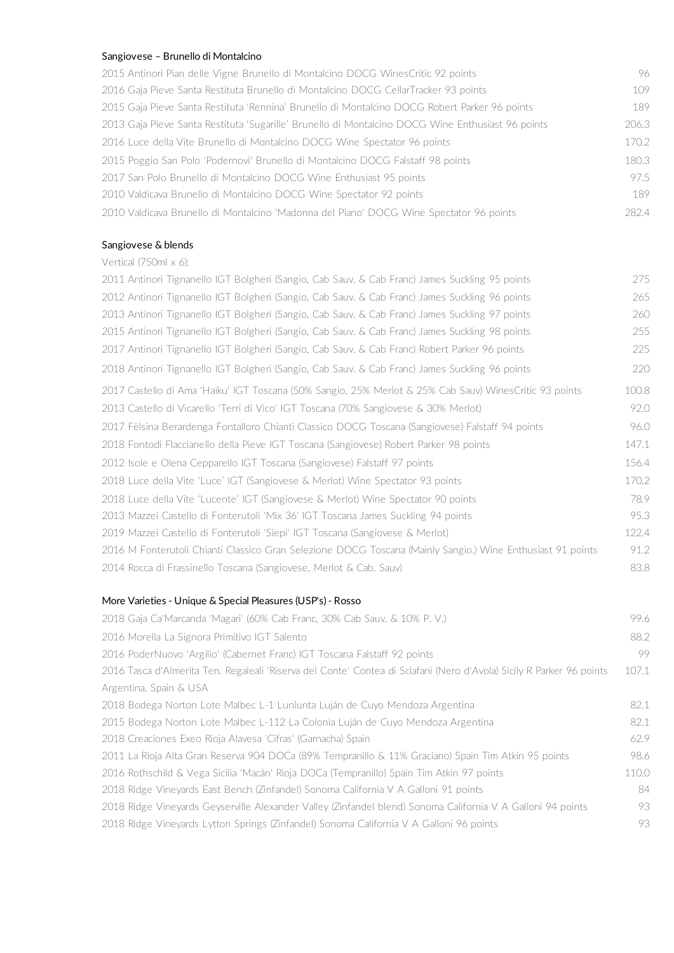#### Sangiovese – Brunello di Montalcino

2015 Antinori Pian delle Vigne Brunello di Montalcino DOCG WinesCritic 92 points 96 2016 Gaja Pieve Santa Restituta Brunello di Montalcino DOCG CellarTracker 93 points 109 2015 Gaja Pieve Santa Restituta 'Rennina' Brunello di Montalcino DOCG Robert Parker 96 points 189 2013 Gaja Pieve Santa Restituta 'Sugarille' Brunello di Montalcino DOCG Wine Enthusiast 96 points 206.3 2016 Luce della Vite Brunello di Montalcino DOCG Wine Spectator 96 points 170.2 2015 Poggio San Polo 'Podernovi' Brunello di Montalcino DOCG Falstaff 98 points 180.3 2017 San Polo Brunello di Montalcino DOCG Wine Enthusiast 95 points 97.5 2010 Valdicava Brunello di Montalcino DOCG Wine Spectator 92 points 189 2010 Valdicava Brunello di Montalcino 'Madonna del Piano' DOCG Wine Spectator 96 points 282.4

#### Sangiovese & blends

Vertical (750ml x 6):

| 2011 Antinori Tignanello IGT Bolgheri (Sangio, Cab Sauv. & Cab Franc) James Suckling 95 points             | 275   |
|------------------------------------------------------------------------------------------------------------|-------|
| 2012 Antinori Tignanello IGT Bolgheri (Sangio, Cab Sauv. & Cab Franc) James Suckling 96 points             | 265   |
| 2013 Antinori Tignanello IGT Bolgheri (Sangio, Cab Sauv. & Cab Franc) James Suckling 97 points             | 260   |
| 2015 Antinori Tignanello IGT Bolgheri (Sangio, Cab Sauv. & Cab Franc) James Suckling 98 points             | 255   |
| 2017 Antinori Tignanello IGT Bolgheri (Sangio, Cab Sauv. & Cab Franc) Robert Parker 96 points              | 225   |
| 2018 Antinori Tignanello IGT Bolgheri (Sangio, Cab Sauv. & Cab Franc) James Suckling 96 points             | 220   |
| 2017 Castello di Ama 'Haiku' IGT Toscana (50% Sangio, 25% Merlot & 25% Cab Sauv) WinesCritic 93 points     | 100.8 |
| 2013 Castello di Vicarello 'Terri di Vico' IGT Toscana (70% Sangiovese & 30% Merlot)                       | 92.0  |
| 2017 Fèlsina Berardenga Fontalloro Chianti Classico DOCG Toscana (Sangiovese) Falstaff 94 points           | 96.0  |
| 2018 Fontodi Flaccianello della Pieve IGT Toscana (Sangiovese) Robert Parker 98 points                     | 147.1 |
| 2012 Isole e Olena Cepparello IGT Toscana (Sangiovese) Falstaff 97 points                                  | 156.4 |
| 2018 Luce della Vite 'Luce' IGT (Sangiovese & Merlot) Wine Spectator 93 points                             | 170.2 |
| 2018 Luce della Vite 'Lucente' IGT (Sangiovese & Merlot) Wine Spectator 90 points                          | 78.9  |
| 2013 Mazzei Castello di Fonterutoli 'Mix 36' IGT Toscana James Suckling 94 points                          | 95.3  |
| 2019 Mazzei Castello di Fonterutoli 'Siepi' IGT Toscana (Sangiovese & Merlot)                              | 122.4 |
| 2016 M Fonterutoli Chianti Classico Gran Selezione DOCG Toscana (Mainly Sangio.) Wine Enthusiast 91 points | 91.2  |
| 2014 Rocca di Frassinello Toscana (Sangiovese, Merlot & Cab. Sauv)                                         | 83.8  |
|                                                                                                            |       |

#### More Varieties - Unique & Special Pleasures (USP's) - Rosso

| 2018 Gaja Ca'Marcanda 'Magari' (60% Cab Franc, 30% Cab Sauv, & 10% P. V.)                                            | 99.6  |
|----------------------------------------------------------------------------------------------------------------------|-------|
| 2016 Morella La Signora Primitivo IGT Salento                                                                        | 88.2  |
| 2016 PoderNuovo 'Argilio' (Cabernet Franc) IGT Toscana Falstaff 92 points                                            | 99    |
| 2016 Tasca d'Almerita Ten. Regaleali 'Riserva del Conte' Contea di Sclafani (Nero d'Avola) Sicily R Parker 96 points | 107.1 |
| Argentina, Spain & USA                                                                                               |       |
| 2018 Bodega Norton Lote Malbec L-1 Lunlunta Luján de Cuyo Mendoza Argentina.                                         | 82.1  |
| 2015 Bodega Norton Lote Malbec L-112 La Colonia Luján de Cuyo Mendoza Argentina                                      | 82.1  |
| 2018 Creaciones Exeo Rioja Alavesa 'Cifras' (Garnacha) Spain-                                                        | 62.9  |
| 2011 La Rioja Alta Gran Reserva 904 DOCa (89% Tempranillo & 11% Graciano) Spain Tim Atkin 95 points                  | 98.6  |
| 2016 Rothschild & Vega Sicilia 'Macán' Rioja DOCa (Tempranillo) Spain Tim Atkin 97 points                            | 110.0 |
| 2018 Ridge Vineyards East Bench (Zinfandel) Sonoma California V A Galloni 91 points                                  | 84    |
| 2018 Ridge Vineyards Geyserville Alexander Valley (Zinfandel blend) Sonoma California V A Galloni 94 points          | 93    |
| 2018 Ridge Vineyards Lytton Springs (Zinfandel) Sonoma California V A Galloni 96 points                              | 93    |